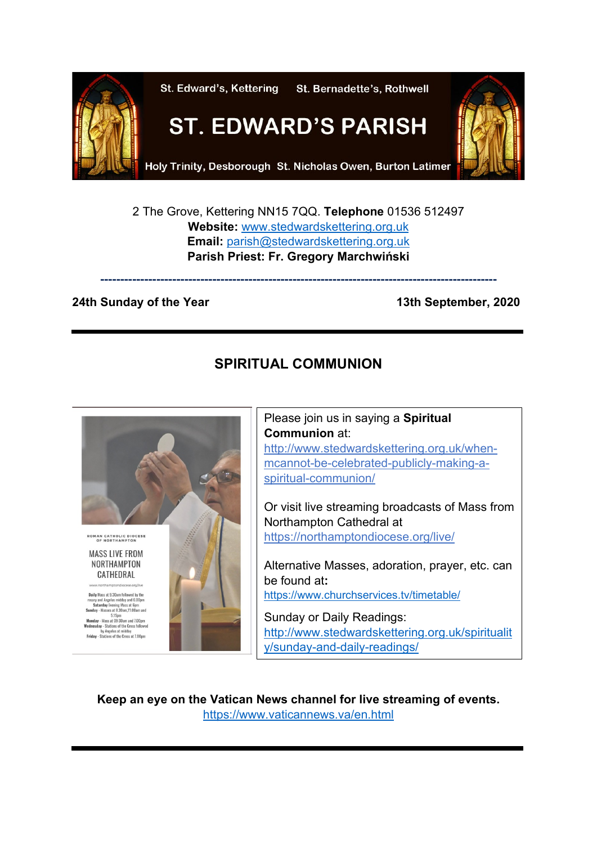

2 The Grove, Kettering NN15 7QQ. **Telephone** 01536 512497 **Website:** [www.stedwardskettering.org.uk](http://www.stedwardskettering.org.uk/) **Email:** [parish@stedwardskettering.org.uk](mailto:parish@stedwardskettering.org.uk) **Parish Priest: Fr. Gregory Marchwiński**

**---------------------------------------------------------------------------------------------------**

#### **24th Sunday of the Year 13th September, 2020**

# **SPIRITUAL COMMUNION**



Please join us in saying a **Spiritual Communion** at: [http://www.stedwardskettering.org.uk/when](http://www.stedwardskettering.org.uk/when-mass-cannot-be-celebrated-publicly-making-a-spiritual-communion/)[mcannot-be-celebrated-publicly-making-a](http://www.stedwardskettering.org.uk/when-mass-cannot-be-celebrated-publicly-making-a-spiritual-communion/)[spiritual-communion/](http://www.stedwardskettering.org.uk/when-mass-cannot-be-celebrated-publicly-making-a-spiritual-communion/)

Or visit live streaming broadcasts of Mass from Northampton Cathedral at <https://northamptondiocese.org/live/>

Alternative Masses, adoration, prayer, etc. can be found at**:**  <https://www.churchservices.tv/timetable/>

Sunday or Daily Readings: [http://www.stedwardskettering.org.uk/spiritualit](http://www.stedwardskettering.org.uk/spirituality/sunday-and-daily-readings/) [y/sunday-and-daily-readings/](http://www.stedwardskettering.org.uk/spirituality/sunday-and-daily-readings/)

**Keep an eye on the Vatican News channel for live streaming of events.** <https://www.vaticannews.va/en.html>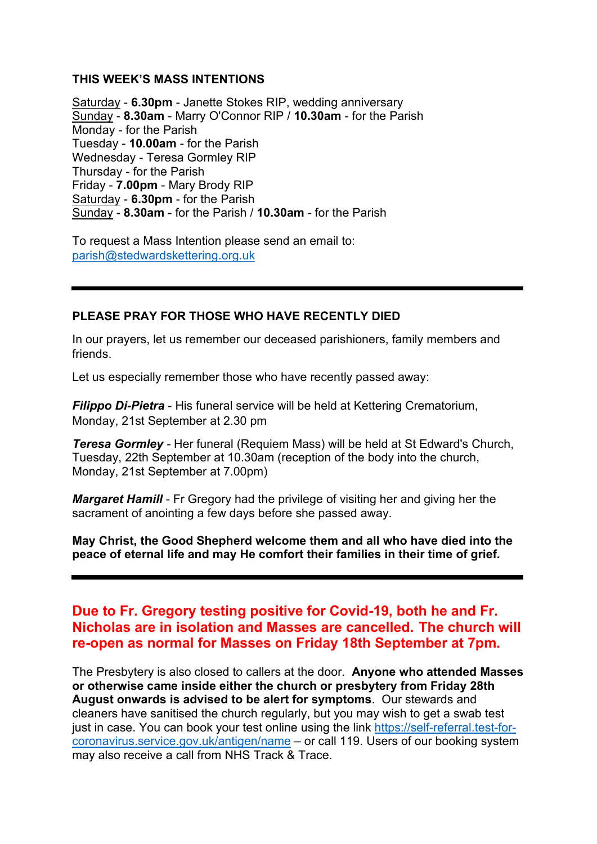#### **THIS WEEK'S MASS INTENTIONS**

Saturday - **6.30pm** - Janette Stokes RIP, wedding anniversary Sunday - **8.30am** - Marry O'Connor RIP / **10.30am** - for the Parish Monday - for the Parish Tuesday - **10.00am** - for the Parish Wednesday - Teresa Gormley RIP Thursday - for the Parish Friday - **7.00pm** - Mary Brody RIP Saturday - **6.30pm** - for the Parish Sunday - **8.30am** - for the Parish / **10.30am** - for the Parish

To request a Mass Intention please send an email to: [parish@stedwardskettering.org.uk](mailto:parish@stedwardskettering.org.uk)

#### **PLEASE PRAY FOR THOSE WHO HAVE RECENTLY DIED**

In our prayers, let us remember our deceased parishioners, family members and friends.

Let us especially remember those who have recently passed away:

*Filippo Di-Pietra* - His funeral service will be held at Kettering Crematorium, Monday, 21st September at 2.30 pm

*Teresa Gormley -* Her funeral (Requiem Mass) will be held at St Edward's Church, Tuesday, 22th September at 10.30am (reception of the body into the church, Monday, 21st September at 7.00pm)

*Margaret Hamill* - Fr Gregory had the privilege of visiting her and giving her the sacrament of anointing a few days before she passed away.

**May Christ, the Good Shepherd welcome them and all who have died into the peace of eternal life and may He comfort their families in their time of grief.**

## **Due to Fr. Gregory testing positive for Covid-19, both he and Fr. Nicholas are in isolation and Masses are cancelled. The church will re-open as normal for Masses on Friday 18th September at 7pm.**

The Presbytery is also closed to callers at the door. **Anyone who attended Masses or otherwise came inside either the church or presbytery from Friday 28th August onwards is advised to be alert for symptoms**. Our stewards and cleaners have sanitised the church regularly, but you may wish to get a swab test just in case. You can book your test online using the link [https://self-referral.test-for](https://self-referral.test-for-coronavirus.service.gov.uk/antigen/name)[coronavirus.service.gov.uk/antigen/name](https://self-referral.test-for-coronavirus.service.gov.uk/antigen/name) – or call 119. Users of our booking system may also receive a call from NHS Track & Trace.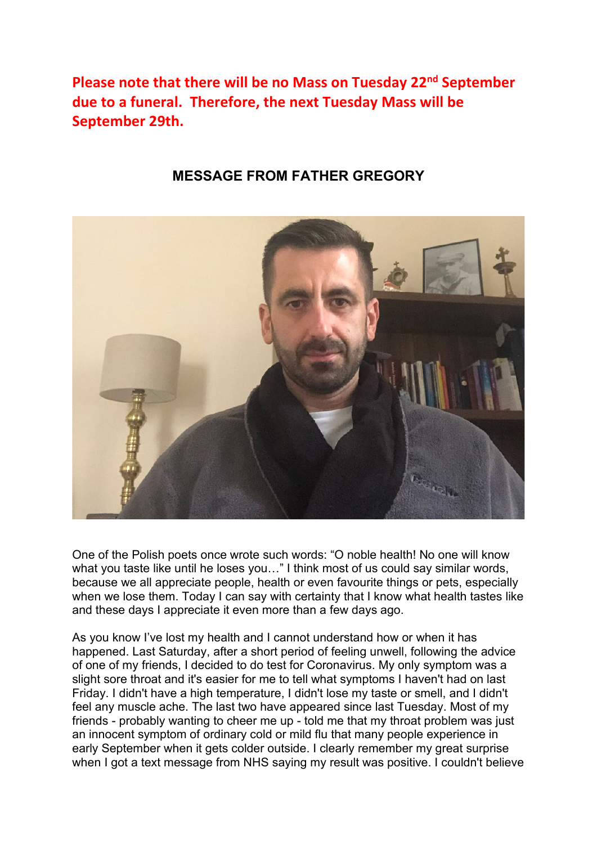**Please note that there will be no Mass on Tuesday 22nd September due to a funeral. Therefore, the next Tuesday Mass will be September 29th.**

## **MESSAGE FROM FATHER GREGORY**



One of the Polish poets once wrote such words: "O noble health! No one will know what you taste like until he loses you..." I think most of us could say similar words, because we all appreciate people, health or even favourite things or pets, especially when we lose them. Today I can say with certainty that I know what health tastes like and these days I appreciate it even more than a few days ago.

As you know I've lost my health and I cannot understand how or when it has happened. Last Saturday, after a short period of feeling unwell, following the advice of one of my friends, I decided to do test for Coronavirus. My only symptom was a slight sore throat and it's easier for me to tell what symptoms I haven't had on last Friday. I didn't have a high temperature, I didn't lose my taste or smell, and I didn't feel any muscle ache. The last two have appeared since last Tuesday. Most of my friends - probably wanting to cheer me up - told me that my throat problem was just an innocent symptom of ordinary cold or mild flu that many people experience in early September when it gets colder outside. I clearly remember my great surprise when I got a text message from NHS saying my result was positive. I couldn't believe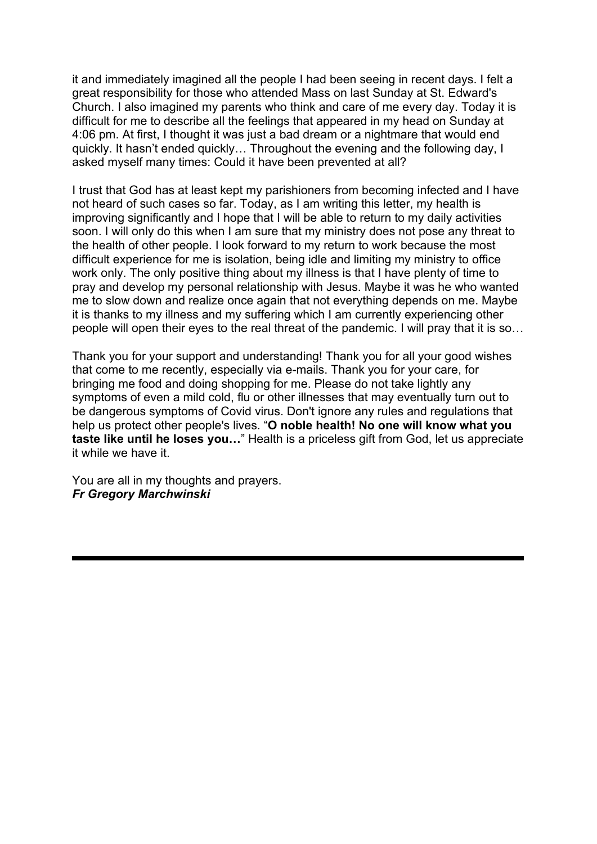it and immediately imagined all the people I had been seeing in recent days. I felt a great responsibility for those who attended Mass on last Sunday at St. Edward's Church. I also imagined my parents who think and care of me every day. Today it is difficult for me to describe all the feelings that appeared in my head on Sunday at 4:06 pm. At first, I thought it was just a bad dream or a nightmare that would end quickly. It hasn't ended quickly… Throughout the evening and the following day, I asked myself many times: Could it have been prevented at all?

I trust that God has at least kept my parishioners from becoming infected and I have not heard of such cases so far. Today, as I am writing this letter, my health is improving significantly and I hope that I will be able to return to my daily activities soon. I will only do this when I am sure that my ministry does not pose any threat to the health of other people. I look forward to my return to work because the most difficult experience for me is isolation, being idle and limiting my ministry to office work only. The only positive thing about my illness is that I have plenty of time to pray and develop my personal relationship with Jesus. Maybe it was he who wanted me to slow down and realize once again that not everything depends on me. Maybe it is thanks to my illness and my suffering which I am currently experiencing other people will open their eyes to the real threat of the pandemic. I will pray that it is so…

Thank you for your support and understanding! Thank you for all your good wishes that come to me recently, especially via e-mails. Thank you for your care, for bringing me food and doing shopping for me. Please do not take lightly any symptoms of even a mild cold, flu or other illnesses that may eventually turn out to be dangerous symptoms of Covid virus. Don't ignore any rules and regulations that help us protect other people's lives. "**O noble health! No one will know what you taste like until he loses you…**" Health is a priceless gift from God, let us appreciate it while we have it.

You are all in my thoughts and prayers. *Fr Gregory Marchwinski*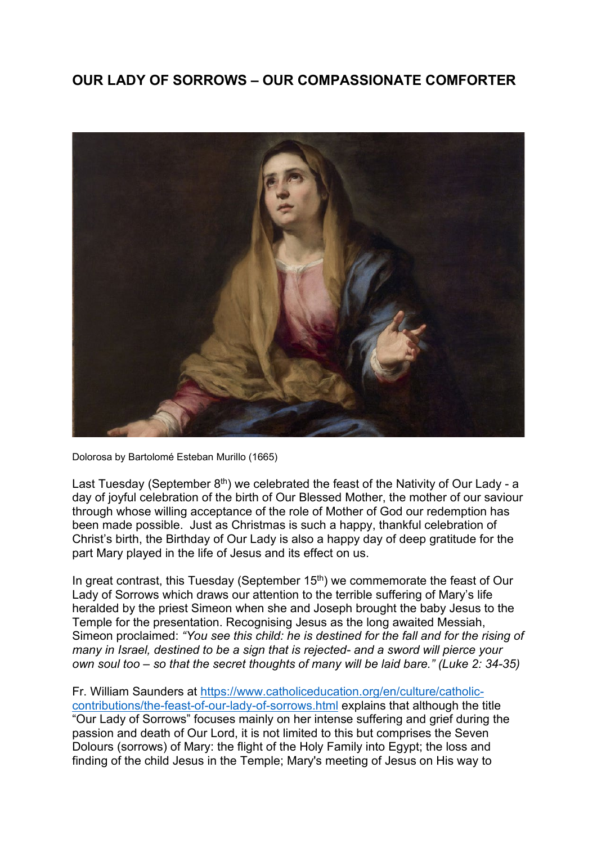# **OUR LADY OF SORROWS – OUR COMPASSIONATE COMFORTER**



Dolorosa by Bartolomé Esteban Murillo (1665)

Last Tuesday (September  $8<sup>th</sup>$ ) we celebrated the feast of the Nativity of Our Lady - a day of joyful celebration of the birth of Our Blessed Mother, the mother of our saviour through whose willing acceptance of the role of Mother of God our redemption has been made possible. Just as Christmas is such a happy, thankful celebration of Christ's birth, the Birthday of Our Lady is also a happy day of deep gratitude for the part Mary played in the life of Jesus and its effect on us.

In great contrast, this Tuesday (September  $15<sup>th</sup>$ ) we commemorate the feast of Our Lady of Sorrows which draws our attention to the terrible suffering of Mary's life heralded by the priest Simeon when she and Joseph brought the baby Jesus to the Temple for the presentation. Recognising Jesus as the long awaited Messiah, Simeon proclaimed: *"You see this child: he is destined for the fall and for the rising of many in Israel, destined to be a sign that is rejected- and a sword will pierce your own soul too – so that the secret thoughts of many will be laid bare." (Luke 2: 34-35)*

Fr. William Saunders at [https://www.catholiceducation.org/en/culture/catholic](https://www.catholiceducation.org/en/culture/catholic-contributions/the-feast-of-our-lady-of-sorrows.html)[contributions/the-feast-of-our-lady-of-sorrows.html](https://www.catholiceducation.org/en/culture/catholic-contributions/the-feast-of-our-lady-of-sorrows.html) explains that although the title "Our Lady of Sorrows" focuses mainly on her intense suffering and grief during the passion and death of Our Lord, it is not limited to this but comprises the Seven Dolours (sorrows) of Mary: the flight of the Holy Family into Egypt; the loss and finding of the child Jesus in the Temple; Mary's meeting of Jesus on His way to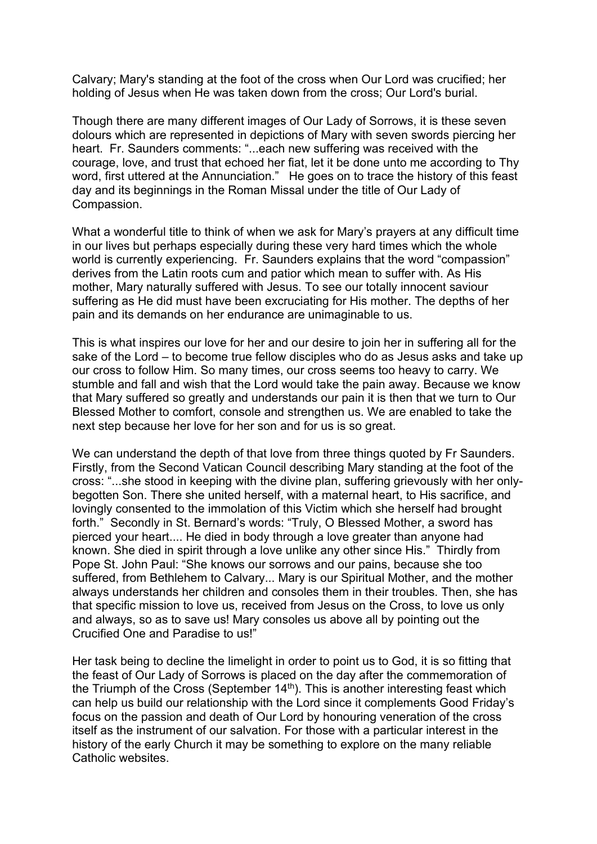Calvary; Mary's standing at the foot of the cross when Our Lord was crucified; her holding of Jesus when He was taken down from the cross; Our Lord's burial.

Though there are many different images of Our Lady of Sorrows, it is these seven dolours which are represented in depictions of Mary with seven swords piercing her heart. Fr. Saunders comments: "...each new suffering was received with the courage, love, and trust that echoed her fiat, let it be done unto me according to Thy word, first uttered at the Annunciation." He goes on to trace the history of this feast day and its beginnings in the Roman Missal under the title of Our Lady of Compassion.

What a wonderful title to think of when we ask for Mary's prayers at any difficult time in our lives but perhaps especially during these very hard times which the whole world is currently experiencing. Fr. Saunders explains that the word "compassion" derives from the Latin roots cum and patior which mean to suffer with. As His mother, Mary naturally suffered with Jesus. To see our totally innocent saviour suffering as He did must have been excruciating for His mother. The depths of her pain and its demands on her endurance are unimaginable to us.

This is what inspires our love for her and our desire to join her in suffering all for the sake of the Lord – to become true fellow disciples who do as Jesus asks and take up our cross to follow Him. So many times, our cross seems too heavy to carry. We stumble and fall and wish that the Lord would take the pain away. Because we know that Mary suffered so greatly and understands our pain it is then that we turn to Our Blessed Mother to comfort, console and strengthen us. We are enabled to take the next step because her love for her son and for us is so great.

We can understand the depth of that love from three things quoted by Fr Saunders. Firstly, from the Second Vatican Council describing Mary standing at the foot of the cross: "...she stood in keeping with the divine plan, suffering grievously with her onlybegotten Son. There she united herself, with a maternal heart, to His sacrifice, and lovingly consented to the immolation of this Victim which she herself had brought forth." Secondly in St. Bernard's words: "Truly, O Blessed Mother, a sword has pierced your heart.... He died in body through a love greater than anyone had known. She died in spirit through a love unlike any other since His." Thirdly from Pope St. John Paul: "She knows our sorrows and our pains, because she too suffered, from Bethlehem to Calvary... Mary is our Spiritual Mother, and the mother always understands her children and consoles them in their troubles. Then, she has that specific mission to love us, received from Jesus on the Cross, to love us only and always, so as to save us! Mary consoles us above all by pointing out the Crucified One and Paradise to us!"

Her task being to decline the limelight in order to point us to God, it is so fitting that the feast of Our Lady of Sorrows is placed on the day after the commemoration of the Triumph of the Cross (September  $14<sup>th</sup>$ ). This is another interesting feast which can help us build our relationship with the Lord since it complements Good Friday's focus on the passion and death of Our Lord by honouring veneration of the cross itself as the instrument of our salvation. For those with a particular interest in the history of the early Church it may be something to explore on the many reliable Catholic websites.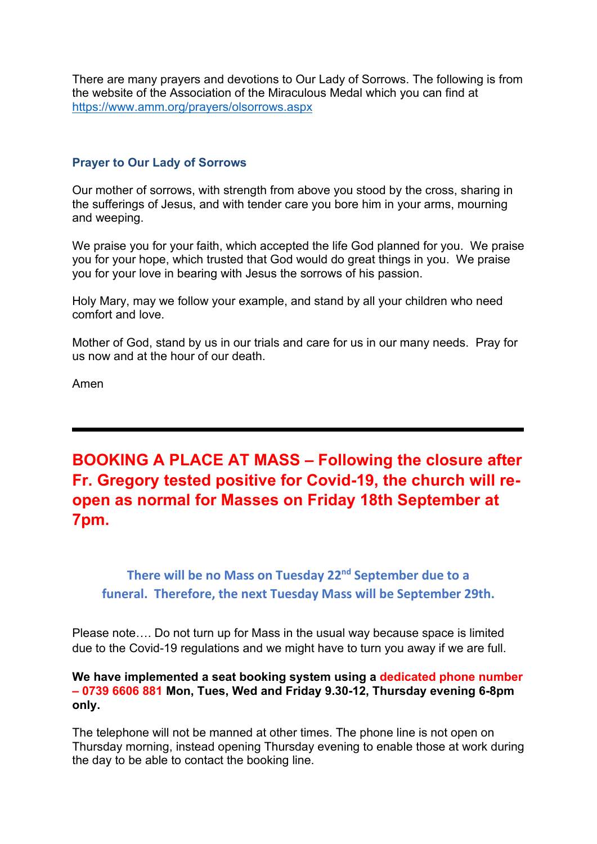There are many prayers and devotions to Our Lady of Sorrows. The following is from the website of the Association of the Miraculous Medal which you can find at <https://www.amm.org/prayers/olsorrows.aspx>

#### **Prayer to Our Lady of Sorrows**

Our mother of sorrows, with strength from above you stood by the cross, sharing in the sufferings of Jesus, and with tender care you bore him in your arms, mourning and weeping.

We praise you for your faith, which accepted the life God planned for you. We praise you for your hope, which trusted that God would do great things in you. We praise you for your love in bearing with Jesus the sorrows of his passion.

Holy Mary, may we follow your example, and stand by all your children who need comfort and love.

Mother of God, stand by us in our trials and care for us in our many needs. Pray for us now and at the hour of our death.

Amen

**BOOKING A PLACE AT MASS – Following the closure after Fr. Gregory tested positive for Covid-19, the church will reopen as normal for Masses on Friday 18th September at 7pm.**

**There will be no Mass on Tuesday 22nd September due to a funeral. Therefore, the next Tuesday Mass will be September 29th.**

Please note…. Do not turn up for Mass in the usual way because space is limited due to the Covid-19 regulations and we might have to turn you away if we are full.

#### **We have implemented a seat booking system using a dedicated phone number – 0739 6606 881 Mon, Tues, Wed and Friday 9.30-12, Thursday evening 6-8pm only.**

The telephone will not be manned at other times. The phone line is not open on Thursday morning, instead opening Thursday evening to enable those at work during the day to be able to contact the booking line.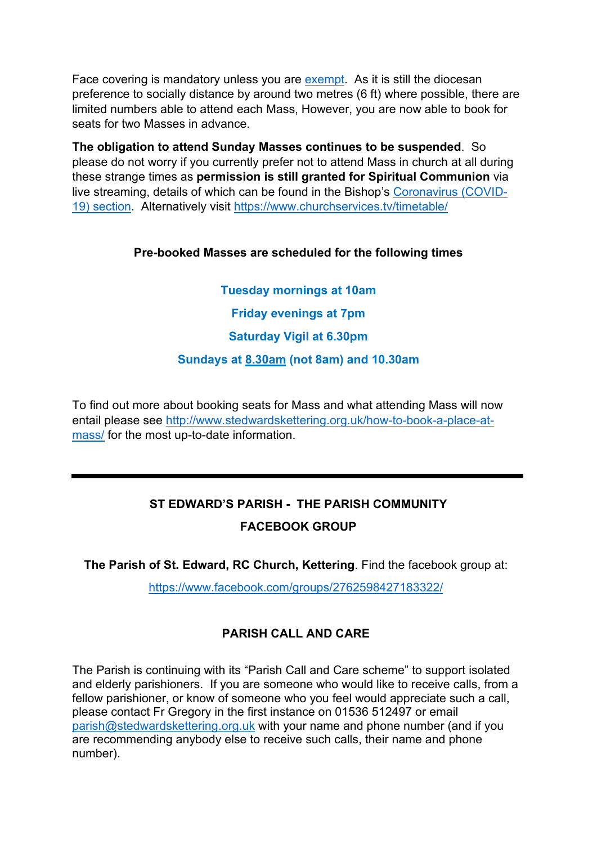Face covering is mandatory unless you are [exempt.](https://www.gov.uk/government/publications/face-coverings-when-to-wear-one-and-how-to-make-your-own/face-coverings-when-to-wear-one-and-how-to-make-your-own#when-you-do-not-need-to-wear-a-face-covering) As it is still the diocesan preference to socially distance by around two metres (6 ft) where possible, there are limited numbers able to attend each Mass, However, you are now able to book for seats for two Masses in advance.

**The obligation to attend Sunday Masses continues to be suspended**. So please do not worry if you currently prefer not to attend Mass in church at all during these strange times as **permission is still granted for Spiritual Communion** via live streaming, details of which can be found in the Bishop's [Coronavirus \(COVID-](https://www.cbcew.org.uk/home/our-work/health-social-care/coronavirus-guidelines/)[19\) section.](https://www.cbcew.org.uk/home/our-work/health-social-care/coronavirus-guidelines/) Alternatively visit<https://www.churchservices.tv/timetable/>

### **Pre-booked Masses are scheduled for the following times**

**Tuesday mornings at 10am Friday evenings at 7pm Saturday Vigil at 6.30pm Sundays at 8.30am (not 8am) and 10.30am**

To find out more about booking seats for Mass and what attending Mass will now entail please see [http://www.stedwardskettering.org.uk/how-to-book-a-place-at](http://www.stedwardskettering.org.uk/how-to-book-a-place-at-mass/)[mass/](http://www.stedwardskettering.org.uk/how-to-book-a-place-at-mass/) for the most up-to-date information.

# **ST EDWARD'S PARISH - THE PARISH COMMUNITY**

## **FACEBOOK GROUP**

**The Parish of St. Edward, RC Church, Kettering**. Find the facebook group at:

<https://www.facebook.com/groups/2762598427183322/>

# **PARISH CALL AND CARE**

The Parish is continuing with its "Parish Call and Care scheme" to support isolated and elderly parishioners. If you are someone who would like to receive calls, from a fellow parishioner, or know of someone who you feel would appreciate such a call, please contact Fr Gregory in the first instance on 01536 512497 or email [parish@stedwardskettering.org.uk](mailto:parish@stedwardskettering.org.uk) with your name and phone number (and if you are recommending anybody else to receive such calls, their name and phone number).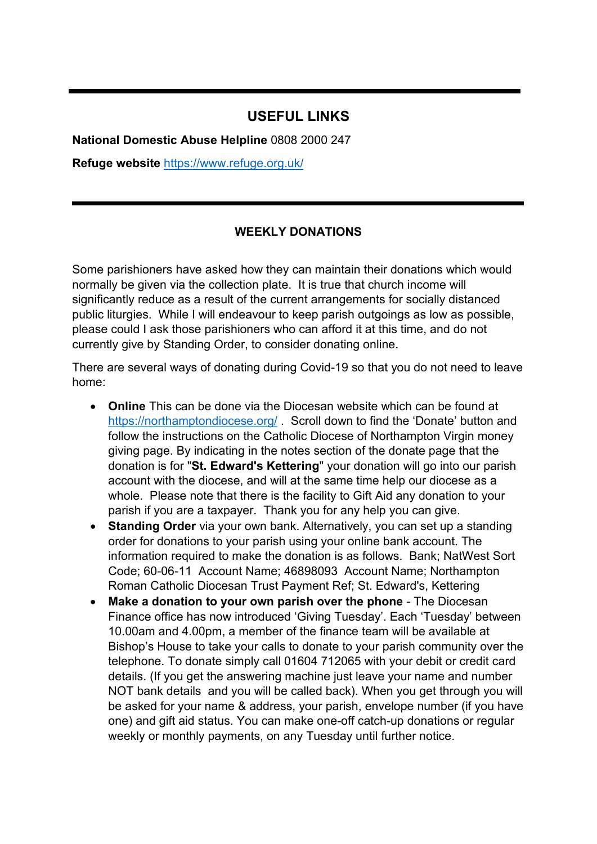## **USEFUL LINKS**

**National Domestic Abuse Helpline** 0808 2000 247

**Refuge website** <https://www.refuge.org.uk/>

#### **WEEKLY DONATIONS**

Some parishioners have asked how they can maintain their donations which would normally be given via the collection plate. It is true that church income will significantly reduce as a result of the current arrangements for socially distanced public liturgies. While I will endeavour to keep parish outgoings as low as possible, please could I ask those parishioners who can afford it at this time, and do not currently give by Standing Order, to consider donating online.

There are several ways of donating during Covid-19 so that you do not need to leave home:

- **Online** This can be done via the Diocesan website which can be found at <https://northamptondiocese.org/> . Scroll down to find the 'Donate' button and follow the instructions on the Catholic Diocese of Northampton Virgin money giving page. By indicating in the notes section of the donate page that the donation is for "**St. Edward's Kettering**" your donation will go into our parish account with the diocese, and will at the same time help our diocese as a whole. Please note that there is the facility to Gift Aid any donation to your parish if you are a taxpayer. Thank you for any help you can give.
- **Standing Order** via your own bank. Alternatively, you can set up a standing order for donations to your parish using your online bank account. The information required to make the donation is as follows. Bank; NatWest Sort Code; 60-06-11 Account Name; 46898093 Account Name; Northampton Roman Catholic Diocesan Trust Payment Ref; St. Edward's, Kettering
- **Make a donation to your own parish over the phone** The Diocesan Finance office has now introduced 'Giving Tuesday'. Each 'Tuesday' between 10.00am and 4.00pm, a member of the finance team will be available at Bishop's House to take your calls to donate to your parish community over the telephone. To donate simply call 01604 712065 with your debit or credit card details. (If you get the answering machine just leave your name and number NOT bank details and you will be called back). When you get through you will be asked for your name & address, your parish, envelope number (if you have one) and gift aid status. You can make one-off catch-up donations or regular weekly or monthly payments, on any Tuesday until further notice.